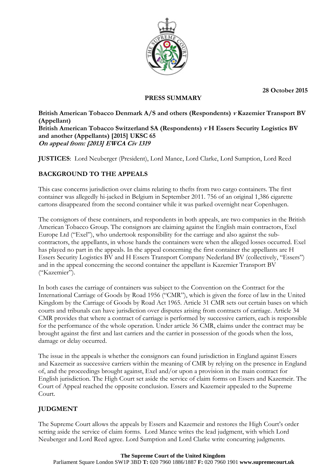**28 October 2015**



### **PRESS SUMMARY**

**British American Tobacco Denmark A/S and others (Respondents) <sup>v</sup> Kazemier Transport BV (Appellant) British American Tobacco Switzerland SA (Respondents) v H Essers Security Logistics BV and another (Appellants) [2015] UKSC 65 On appeal from: [2013] EWCA Civ 1319**

**JUSTICES**: Lord Neuberger (President), Lord Mance, Lord Clarke, Lord Sumption, Lord Reed

## **BACKGROUND TO THE APPEALS**

This case concerns jurisdiction over claims relating to thefts from two cargo containers. The first container was allegedly hi-jacked in Belgium in September 2011. 756 of an original 1,386 cigarette cartons disappeared from the second container while it was parked overnight near Copenhagen.

The consignors of these containers, and respondents in both appeals, are two companies in the British American Tobacco Group. The consignors are claiming against the English main contractors, Exel Europe Ltd ("Exel"), who undertook responsibility for the carriage and also against the subcontractors, the appellants, in whose hands the containers were when the alleged losses occurred. Exel has played no part in the appeals. In the appeal concerning the first container the appellants are H Essers Security Logistics BV and H Essers Transport Company Nederland BV (collectively, "Essers") and in the appeal concerning the second container the appellant is Kazemier Transport BV ("Kazemier").

In both cases the carriage of containers was subject to the Convention on the Contract for the International Carriage of Goods by Road 1956 ("CMR"), which is given the force of law in the United Kingdom by the Carriage of Goods by Road Act 1965. Article 31 CMR sets out certain bases on which courts and tribunals can have jurisdiction over disputes arising from contracts of carriage. Article 34 CMR provides that where a contract of carriage is performed by successive carriers, each is responsible for the performance of the whole operation. Under article 36 CMR, claims under the contract may be brought against the first and last carriers and the carrier in possession of the goods when the loss, damage or delay occurred.

The issue in the appeals is whether the consignors can found jurisdiction in England against Essers and Kazemeir as successive carriers within the meaning of CMR by relying on the presence in England of, and the proceedings brought against, Exel and/or upon a provision in the main contract for English jurisdiction. The High Court set aside the service of claim forms on Essers and Kazemeir. The Court of Appeal reached the opposite conclusion. Essers and Kazemeir appealed to the Supreme Court.

### **JUDGMENT**

The Supreme Court allows the appeals by Essers and Kazemeir and restores the High Court's order setting aside the service of claim forms. Lord Mance writes the lead judgment, with which Lord Neuberger and Lord Reed agree. Lord Sumption and Lord Clarke write concurring judgments.

#### **The Supreme Court of the United Kingdom**

Parliament Square London SW1P 3BD **T:** 020 7960 1886/1887 **F:** 020 7960 1901 **www.supremecourt.uk**